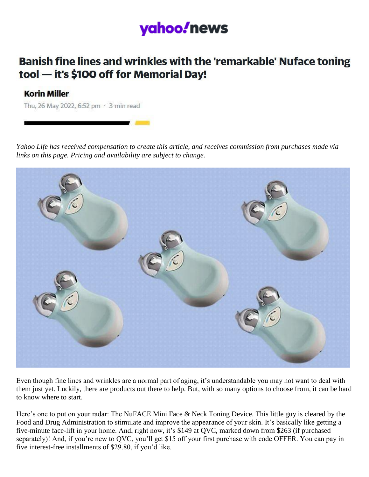## yahoo!news

## Banish fine lines and wrinkles with the 'remarkable' Nuface toning tool - it's \$100 off for Memorial Day!

## **Korin Miller**

Thu, 26 May 2022, 6:52 pm · 3-min read

*Yahoo Life has received compensation to create this article, and receives commission from purchases made via links on this page. Pricing and availability are subject to change.*



Even though fine lines and wrinkles are a normal part of aging, it's understandable you may not want to deal with them just yet. Luckily, there are products out there to help. But, with so many options to choose from, it can be hard to know where to start.

Here's one to put on your radar: The NuFACE Mini Face & Neck Toning Device. This little guy is cleared by the Food and Drug Administration to stimulate and improve the appearance of your skin. It's basically like getting a five-minute face-lift in your home. And, right now, it's \$149 at QVC, marked down from \$263 (if purchased separately)! And, if you're new to QVC, you'll get \$15 off your first purchase with code OFFER. You can pay in five interest-free installments of \$29.80, if you'd like.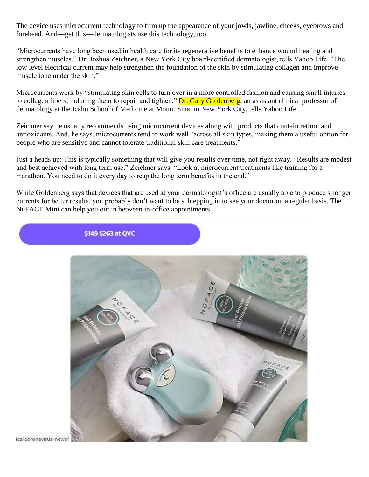The device uses microcurrent technology to firm up the appearance of your jowls, jawline, cheeks, eyebrows and forehead. And—get this—dermatologists use this technology, too.

"Microcurrents have long been used in health care for its regenerative benefits to enhance wound healing and strengthen muscles," Dr. Joshua Zeichner, a New York City board-certified dermatologist, tells Yahoo Life. "The low level electrical current may help strengthen the foundation of the skin by stimulating collagen and improve muscle tone under the skin."

Microcurrents work by "stimulating skin cells to turn over in a more controlled fashion and causing small injuries to collagen fibers, inducing them to repair and tighten," Dr. Gary Goldenberg, an assistant clinical professor of dermatology at the Icahn School of Medicine at Mount Sinai in New York City, tells Yahoo Life.

Zeichner say he usually recommends using microcurrent devices along with products that contain retinol and antioxidants. And, he says, microcurrents tend to work well "across all skin types, making them a useful option for people who are sensitive and cannot tolerate traditional skin care treatments."

Just a heads up: This is typically something that will give you results over time, not right away. "Results are modest and best achieved with long term use," Zeichner says. "Look at microcurrent treatments like training for a marathon. You need to do it every day to reap the long term benefits in the end."

While Goldenberg says that devices that are used at your dermatologist's office are usually able to produce stronger currents for better results, you probably don't want to be schlepping in to see your doctor on a regular basis. The NuFACE Mini can help you out in between in-office appointments.



\$149 \$263 at QVC

ics/coronavirus-news/